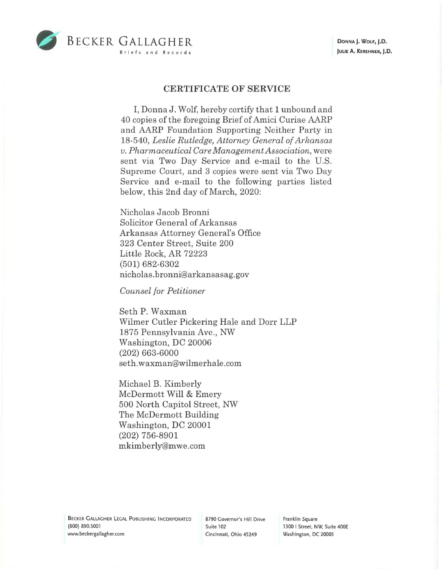

## **CERTIFICATE OF SERVICE**

I, Donna J. Wolf, hereby certify that 1 unbound and 40 copies of the foregoing Brief of Amici Curiae AARP and AARP Foundation Supporting Neither Party in 18-540, *Leslie Rutledge, Attorney General of Arlwnsas v. Pharmaceutical CareManagementAssociation,* were sent via Two Day Service and e-mail to the U.S. Supreme Court, and 3 copies were sent via Two Day Service and e-mail to the following parties listed below, this 2nd day of March, 2020:

Nicholas Jacob Bronni Solicitor General of Arkansas Arkansas Attorney General's Office 323 Center Street, Suite 200 Little Rock, AR 72223 (501) 682-6302 nicholas. bronni@ar kansasag. gov

*Counsel for Petitioner* 

Seth P. Waxman Wilmer Cutler Pickering Hale and Dorr LLP 1875 Pennsylvania Ave., NW Washington, DC 20006 (202) 663-6000 seth.waxman@wilmerhale.com

Michael B. Kimberly McDermott Will & Emery 500 North Capitol Street, NW The McDermott Building Washington, DC 20001 (202) 756-8901 mkimberly@mwe.com

Franklin Square 1300 I Street, NW, Suite 400E Washington, DC 20005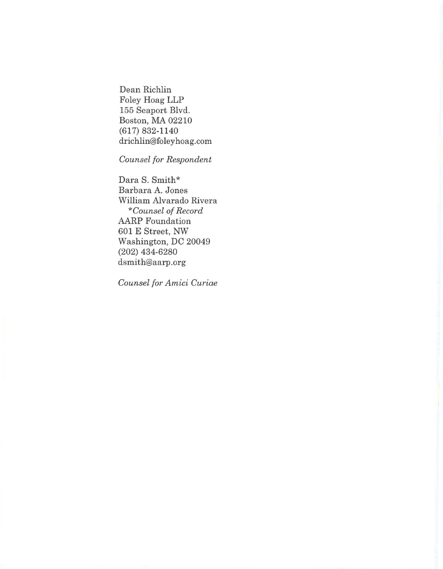Dean Richlin Foley Hoag LLP 155 Seaport Blvd. Boston, MA 02210 (617) 832-1140 drichlin@foley hoag .com

*Counsel for Respondent* 

Dara S. Smith\* Barbara A. Jones William Alvarado Rivera *\*Counsel of Record*  AARP Foundation 601 E Street, NW Washington, DC 20049 (202) 434-6280 dsmith@aarp.org

*Counsel for Amici Curiae*